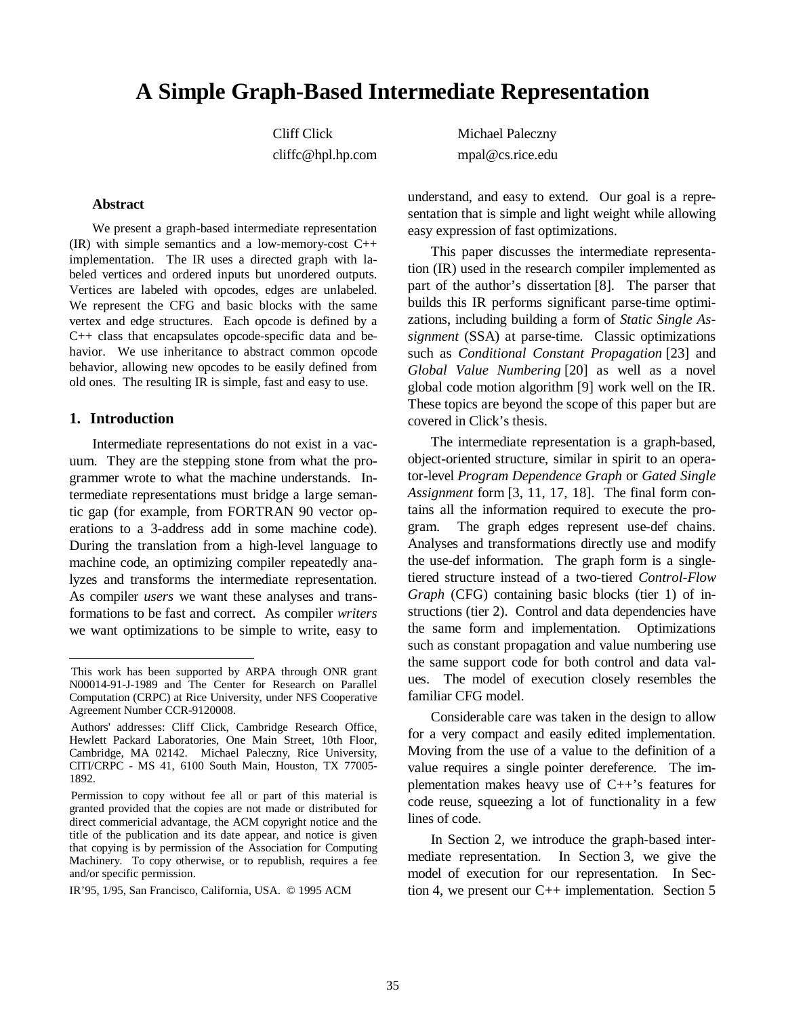# **A Simple Graph-Based Intermediate Representation**

Cliff Click cliffc@hpl.hp.com Michael Paleczny mpal@cs.rice.edu

# **Abstract**

We present a graph-based intermediate representation (IR) with simple semantics and a low-memory-cost C++ implementation. The IR uses a directed graph with labeled vertices and ordered inputs but unordered outputs. Vertices are labeled with opcodes, edges are unlabeled. We represent the CFG and basic blocks with the same vertex and edge structures. Each opcode is defined by a C++ class that encapsulates opcode-specific data and behavior. We use inheritance to abstract common opcode behavior, allowing new opcodes to be easily defined from old ones. The resulting IR is simple, fast and easy to use.

# **1. Introduction**

-

Intermediate representations do not exist in a vacuum. They are the stepping stone from what the programmer wrote to what the machine understands. Intermediate representations must bridge a large semantic gap (for example, from FORTRAN 90 vector operations to a 3-address add in some machine code). During the translation from a high-level language to machine code, an optimizing compiler repeatedly analyzes and transforms the intermediate representation. As compiler *users* we want these analyses and transformations to be fast and correct. As compiler *writers* we want optimizations to be simple to write, easy to

IR'95, 1/95, San Francisco, California, USA. © 1995 ACM

understand, and easy to extend. Our goal is a representation that is simple and light weight while allowing easy expression of fast optimizations.

This paper discusses the intermediate representation (IR) used in the research compiler implemented as part of the author's dissertation [8]. The parser that builds this IR performs significant parse-time optimizations, including building a form of *Static Single Assignment* (SSA) at parse-time. Classic optimizations such as *Conditional Constant Propagation* [23] and *Global Value Numbering* [20] as well as a novel global code motion algorithm [9] work well on the IR. These topics are beyond the scope of this paper but are covered in Click's thesis.

The intermediate representation is a graph-based, object-oriented structure, similar in spirit to an operator-level *Program Dependence Graph* or *Gated Single Assignment* form [3, 11, 17, 18]. The final form contains all the information required to execute the program. The graph edges represent use-def chains. Analyses and transformations directly use and modify the use-def information. The graph form is a singletiered structure instead of a two-tiered *Control-Flow Graph* (CFG) containing basic blocks (tier 1) of instructions (tier 2). Control and data dependencies have the same form and implementation. Optimizations such as constant propagation and value numbering use the same support code for both control and data values. The model of execution closely resembles the familiar CFG model.

Considerable care was taken in the design to allow for a very compact and easily edited implementation. Moving from the use of a value to the definition of a value requires a single pointer dereference. The implementation makes heavy use of C++'s features for code reuse, squeezing a lot of functionality in a few lines of code.

In Section 2, we introduce the graph-based intermediate representation. In Section 3, we give the model of execution for our representation. In Section 4, we present our C++ implementation. Section 5

This work has been supported by ARPA through ONR grant N00014-91-J-1989 and The Center for Research on Parallel Computation (CRPC) at Rice University, under NFS Cooperative Agreement Number CCR-9120008.

Authors' addresses: Cliff Click, Cambridge Research Office, Hewlett Packard Laboratories, One Main Street, 10th Floor, Cambridge, MA 02142. Michael Paleczny, Rice University, CITI/CRPC - MS 41, 6100 South Main, Houston, TX 77005- 1892.

Permission to copy without fee all or part of this material is granted provided that the copies are not made or distributed for direct commericial advantage, the ACM copyright notice and the title of the publication and its date appear, and notice is given that copying is by permission of the Association for Computing Machinery. To copy otherwise, or to republish, requires a fee and/or specific permission.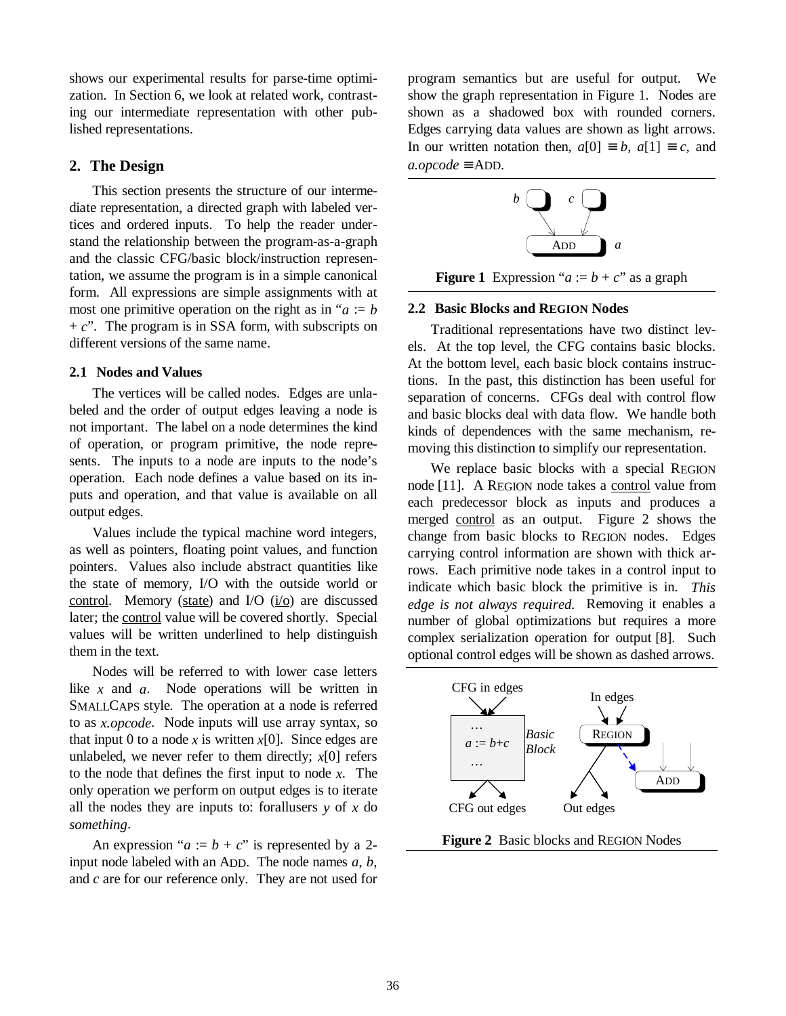shows our experimental results for parse-time optimization. In Section 6, we look at related work, contrasting our intermediate representation with other published representations.

#### **2. The Design**

This section presents the structure of our intermediate representation, a directed graph with labeled vertices and ordered inputs. To help the reader understand the relationship between the program-as-a-graph and the classic CFG/basic block/instruction representation, we assume the program is in a simple canonical form. All expressions are simple assignments with at most one primitive operation on the right as in " $a := b$  $+ c$ ". The program is in SSA form, with subscripts on different versions of the same name.

#### **2.1 Nodes and Values**

The vertices will be called nodes. Edges are unlabeled and the order of output edges leaving a node is not important. The label on a node determines the kind of operation, or program primitive, the node represents. The inputs to a node are inputs to the node's operation. Each node defines a value based on its inputs and operation, and that value is available on all output edges.

Values include the typical machine word integers, as well as pointers, floating point values, and function pointers. Values also include abstract quantities like the state of memory, I/O with the outside world or control. Memory (state) and I/O (i/o) are discussed later; the control value will be covered shortly. Special values will be written underlined to help distinguish them in the text.

Nodes will be referred to with lower case letters like *x* and *a*. Node operations will be written in SMALLCAPS style. The operation at a node is referred to as *x.opcode*. Node inputs will use array syntax, so that input 0 to a node x is written  $x[0]$ . Since edges are unlabeled, we never refer to them directly;  $x[0]$  refers to the node that defines the first input to node *x*. The only operation we perform on output edges is to iterate all the nodes they are inputs to: forallusers *y* of *x* do *something*.

An expression " $a := b + c$ " is represented by a 2input node labeled with an ADD. The node names *a*, *b*, and *c* are for our reference only. They are not used for program semantics but are useful for output. We show the graph representation in Figure 1. Nodes are shown as a shadowed box with rounded corners. Edges carrying data values are shown as light arrows. In our written notation then,  $a[0] \equiv b$ ,  $a[1] \equiv c$ , and  $a.opcode \equiv ADD.$ 



**Figure 1** Expression " $a := b + c$ " as a graph

#### **2.2 Basic Blocks and REGION Nodes**

Traditional representations have two distinct levels. At the top level, the CFG contains basic blocks. At the bottom level, each basic block contains instructions. In the past, this distinction has been useful for separation of concerns. CFGs deal with control flow and basic blocks deal with data flow. We handle both kinds of dependences with the same mechanism, removing this distinction to simplify our representation.

We replace basic blocks with a special REGION node [11]. A REGION node takes a control value from each predecessor block as inputs and produces a merged control as an output. Figure 2 shows the change from basic blocks to REGION nodes. Edges carrying control information are shown with thick arrows. Each primitive node takes in a control input to indicate which basic block the primitive is in. *This edge is not always required.* Removing it enables a number of global optimizations but requires a more complex serialization operation for output [8]. Such optional control edges will be shown as dashed arrows.



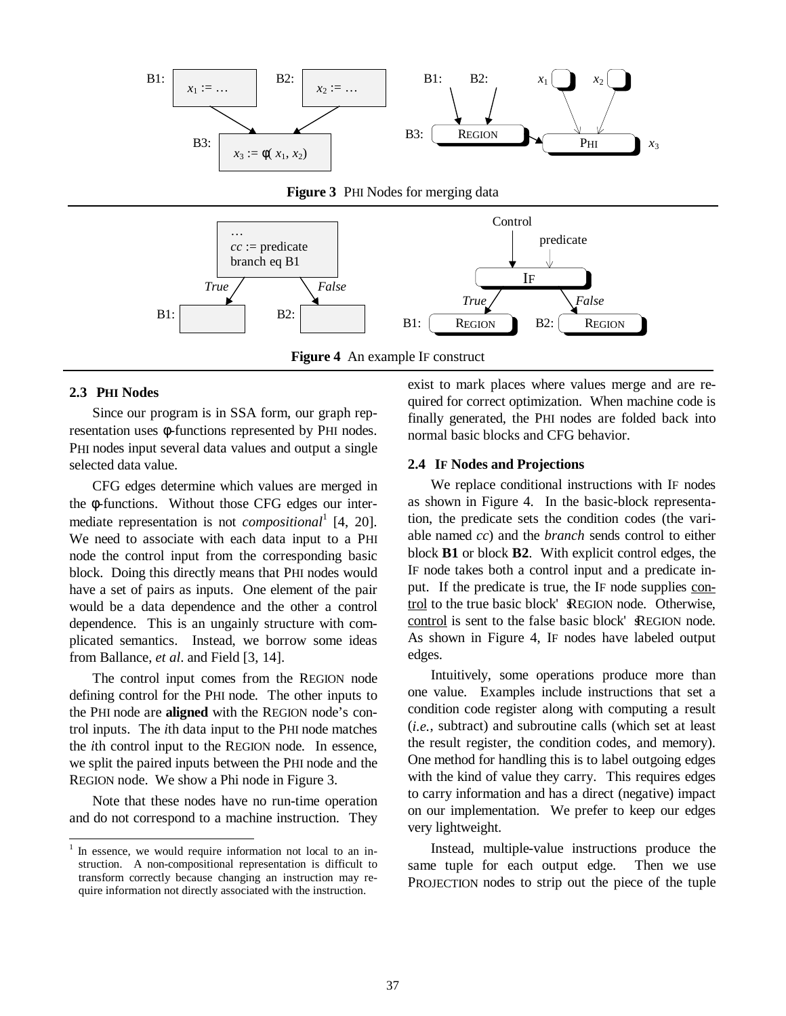

#### **2.3 PHI Nodes**

-

Since our program is in SSA form, our graph representation uses φ-functions represented by PHI nodes. PHI nodes input several data values and output a single selected data value.

CFG edges determine which values are merged in the φ-functions. Without those CFG edges our intermediate representation is not *compositional* 1 [4, 20]. We need to associate with each data input to a PHI node the control input from the corresponding basic block. Doing this directly means that PHI nodes would have a set of pairs as inputs. One element of the pair would be a data dependence and the other a control dependence. This is an ungainly structure with complicated semantics. Instead, we borrow some ideas from Ballance, *et al*. and Field [3, 14].

The control input comes from the REGION node defining control for the PHI node. The other inputs to the PHI node are **aligned** with the REGION node's control inputs. The *i*th data input to the PHI node matches the *i*th control input to the REGION node. In essence, we split the paired inputs between the PHI node and the REGION node. We show a Phi node in Figure 3.

Note that these nodes have no run-time operation and do not correspond to a machine instruction. They exist to mark places where values merge and are required for correct optimization. When machine code is finally generated, the PHI nodes are folded back into normal basic blocks and CFG behavior.

#### **2.4 IF Nodes and Projections**

We replace conditional instructions with IF nodes as shown in Figure 4. In the basic-block representation, the predicate sets the condition codes (the variable named *cc*) and the *branch* sends control to either block **B1** or block **B2**. With explicit control edges, the IF node takes both a control input and a predicate input. If the predicate is true, the IF node supplies control to the true basic block' REGION node. Otherwise, control is sent to the false basic block' REGION node. As shown in Figure 4, IF nodes have labeled output edges.

Intuitively, some operations produce more than one value. Examples include instructions that set a condition code register along with computing a result (*i.e.*, subtract) and subroutine calls (which set at least the result register, the condition codes, and memory). One method for handling this is to label outgoing edges with the kind of value they carry. This requires edges to carry information and has a direct (negative) impact on our implementation. We prefer to keep our edges very lightweight.

Instead, multiple-value instructions produce the same tuple for each output edge. Then we use PROJECTION nodes to strip out the piece of the tuple

<sup>1</sup> In essence, we would require information not local to an instruction. A non-compositional representation is difficult to transform correctly because changing an instruction may require information not directly associated with the instruction.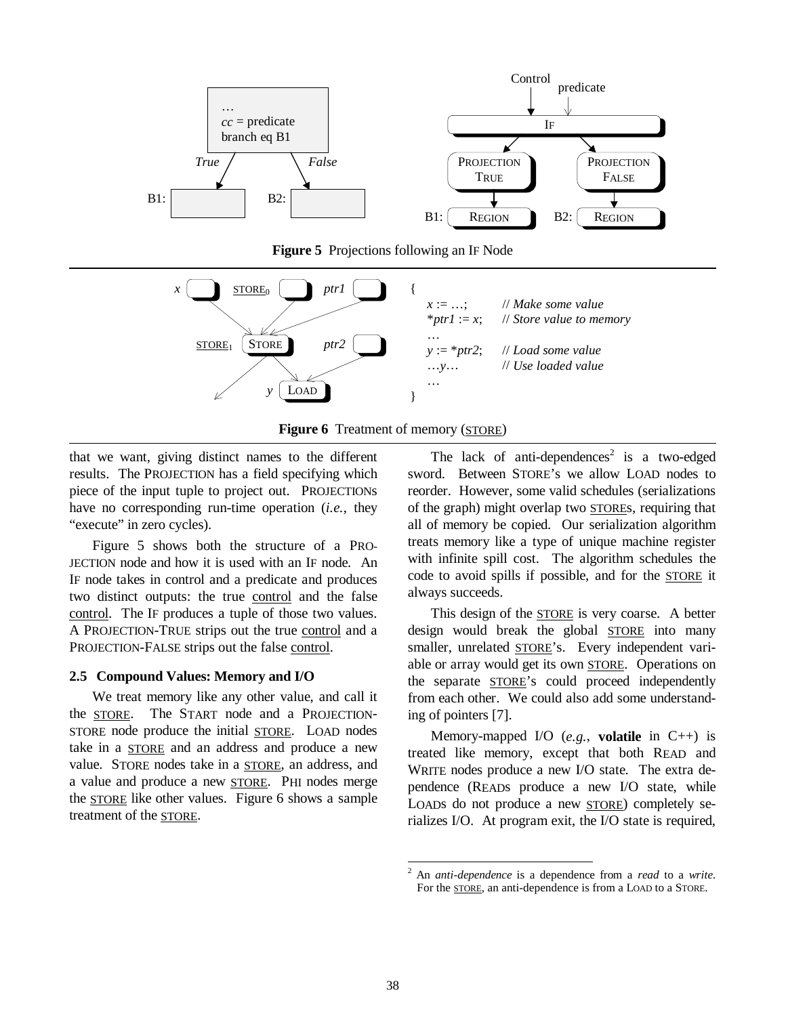

**Figure 5** Projections following an IF Node



**Figure 6** Treatment of memory (STORE)

that we want, giving distinct names to the different results. The PROJECTION has a field specifying which piece of the input tuple to project out. PROJECTIONs have no corresponding run-time operation (*i.e.*, they "execute" in zero cycles).

Figure 5 shows both the structure of a PRO-JECTION node and how it is used with an IF node. An IF node takes in control and a predicate and produces two distinct outputs: the true control and the false control. The IF produces a tuple of those two values. A PROJECTION-TRUE strips out the true control and a PROJECTION-FALSE strips out the false control.

#### **2.5 Compound Values: Memory and I/O**

We treat memory like any other value, and call it the STORE. The START node and a PROJECTION-STORE node produce the initial STORE. LOAD nodes take in a STORE and an address and produce a new value. STORE nodes take in a STORE, an address, and a value and produce a new STORE. PHI nodes merge the STORE like other values. Figure 6 shows a sample treatment of the STORE.

The lack of anti-dependences<sup>2</sup> is a two-edged sword. Between STORE's we allow LOAD nodes to reorder. However, some valid schedules (serializations of the graph) might overlap two STOREs, requiring that all of memory be copied. Our serialization algorithm treats memory like a type of unique machine register with infinite spill cost. The algorithm schedules the code to avoid spills if possible, and for the STORE it always succeeds.

This design of the STORE is very coarse. A better design would break the global STORE into many smaller, unrelated STORE's. Every independent variable or array would get its own STORE. Operations on the separate STORE's could proceed independently from each other. We could also add some understanding of pointers [7].

Memory-mapped I/O (*e.g.*, **volatile** in C++) is treated like memory, except that both READ and WRITE nodes produce a new I/O state. The extra dependence (READs produce a new I/O state, while LOADs do not produce a new STORE) completely serializes I/O. At program exit, the I/O state is required,

-

<sup>2</sup> An *anti-dependence* is a dependence from a *read* to a *write*. For the STORE, an anti-dependence is from a LOAD to a STORE.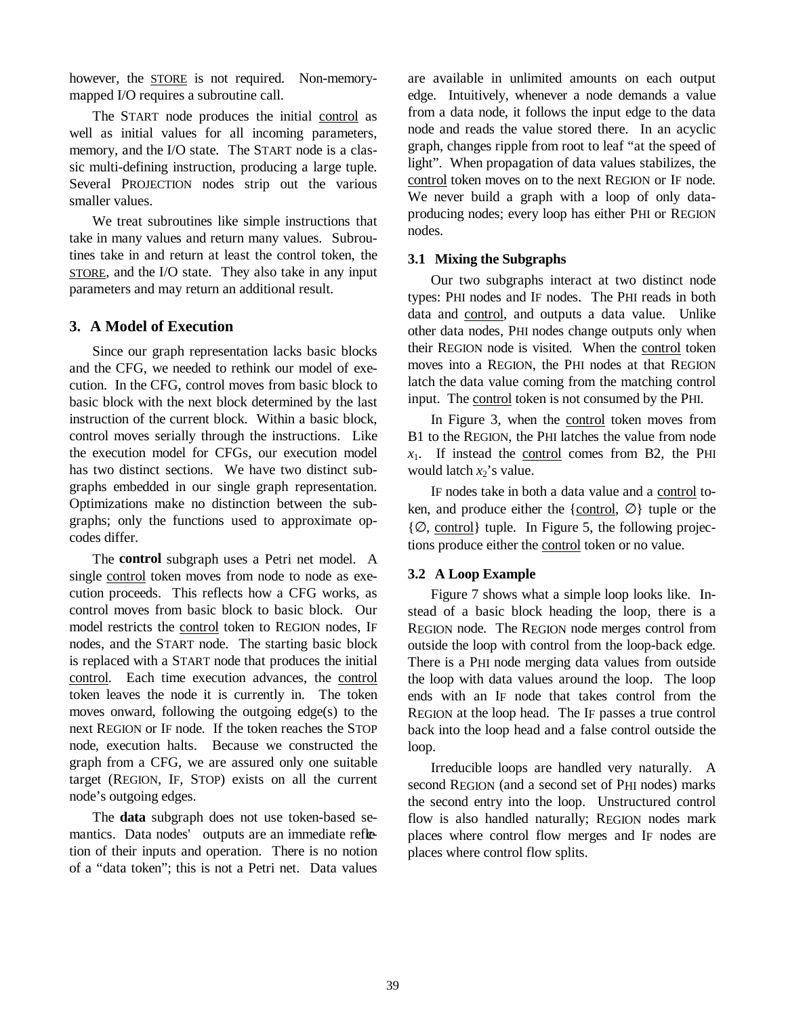however, the STORE is not required. Non-memorymapped I/O requires a subroutine call.

The START node produces the initial control as well as initial values for all incoming parameters, memory, and the I/O state. The START node is a classic multi-defining instruction, producing a large tuple. Several PROJECTION nodes strip out the various smaller values.

We treat subroutines like simple instructions that take in many values and return many values. Subroutines take in and return at least the control token, the STORE, and the I/O state. They also take in any input parameters and may return an additional result.

# **3. A Model of Execution**

Since our graph representation lacks basic blocks and the CFG, we needed to rethink our model of execution. In the CFG, control moves from basic block to basic block with the next block determined by the last instruction of the current block. Within a basic block, control moves serially through the instructions. Like the execution model for CFGs, our execution model has two distinct sections. We have two distinct subgraphs embedded in our single graph representation. Optimizations make no distinction between the subgraphs; only the functions used to approximate opcodes differ.

The **control** subgraph uses a Petri net model. A single control token moves from node to node as execution proceeds. This reflects how a CFG works, as control moves from basic block to basic block. Our model restricts the control token to REGION nodes, IF nodes, and the START node. The starting basic block is replaced with a START node that produces the initial control. Each time execution advances, the control token leaves the node it is currently in. The token moves onward, following the outgoing edge(s) to the next REGION or IF node. If the token reaches the STOP node, execution halts. Because we constructed the graph from a CFG, we are assured only one suitable target (REGION, IF, STOP) exists on all the current node's outgoing edges.

The **data** subgraph does not use token-based semantics. Data nodes' outputs are an immediate refletion of their inputs and operation. There is no notion of a "data token"; this is not a Petri net. Data values are available in unlimited amounts on each output edge. Intuitively, whenever a node demands a value from a data node, it follows the input edge to the data node and reads the value stored there. In an acyclic graph, changes ripple from root to leaf "at the speed of light". When propagation of data values stabilizes, the control token moves on to the next REGION or IF node. We never build a graph with a loop of only dataproducing nodes; every loop has either PHI or REGION nodes.

#### **3.1 Mixing the Subgraphs**

Our two subgraphs interact at two distinct node types: PHI nodes and IF nodes. The PHI reads in both data and control, and outputs a data value. Unlike other data nodes, PHI nodes change outputs only when their REGION node is visited. When the control token moves into a REGION, the PHI nodes at that REGION latch the data value coming from the matching control input. The control token is not consumed by the PHI.

In Figure 3, when the control token moves from B1 to the REGION, the PHI latches the value from node  $x_1$ . If instead the control comes from B2, the PHI would latch  $x_2$ 's value.

IF nodes take in both a data value and a control token, and produce either the {control,  $\varnothing$ } tuple or the {∅, control} tuple. In Figure 5, the following projections produce either the control token or no value.

#### **3.2 A Loop Example**

Figure 7 shows what a simple loop looks like. Instead of a basic block heading the loop, there is a REGION node. The REGION node merges control from outside the loop with control from the loop-back edge. There is a PHI node merging data values from outside the loop with data values around the loop. The loop ends with an IF node that takes control from the REGION at the loop head. The IF passes a true control back into the loop head and a false control outside the loop.

Irreducible loops are handled very naturally. A second REGION (and a second set of PHI nodes) marks the second entry into the loop. Unstructured control flow is also handled naturally; REGION nodes mark places where control flow merges and IF nodes are places where control flow splits.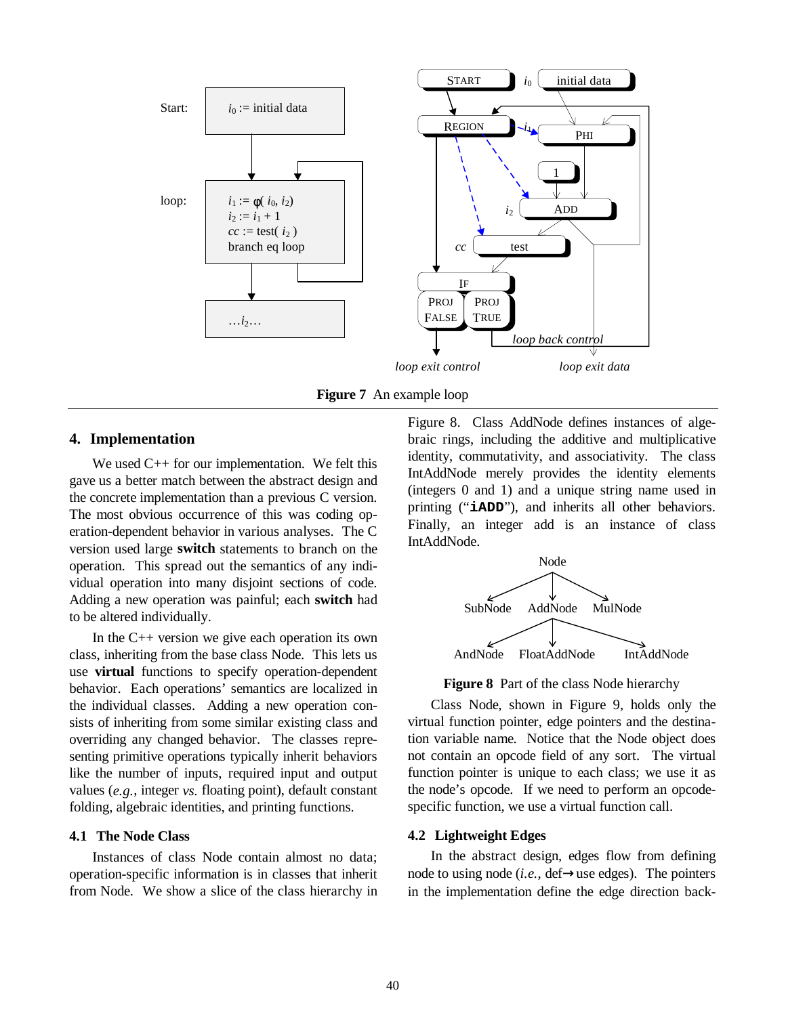

**Figure 7** An example loop

# **4. Implementation**

We used  $C_{++}$  for our implementation. We felt this gave us a better match between the abstract design and the concrete implementation than a previous C version. The most obvious occurrence of this was coding operation-dependent behavior in various analyses. The C version used large **switch** statements to branch on the operation. This spread out the semantics of any individual operation into many disjoint sections of code. Adding a new operation was painful; each **switch** had to be altered individually.

In the C++ version we give each operation its own class, inheriting from the base class Node. This lets us use **virtual** functions to specify operation-dependent behavior. Each operations' semantics are localized in the individual classes. Adding a new operation consists of inheriting from some similar existing class and overriding any changed behavior. The classes representing primitive operations typically inherit behaviors like the number of inputs, required input and output values (*e.g.*, integer *vs.* floating point), default constant folding, algebraic identities, and printing functions.

### **4.1 The Node Class**

Instances of class Node contain almost no data; operation-specific information is in classes that inherit from Node. We show a slice of the class hierarchy in Figure 8. Class AddNode defines instances of algebraic rings, including the additive and multiplicative identity, commutativity, and associativity. The class IntAddNode merely provides the identity elements (integers 0 and 1) and a unique string name used in printing ("**iADD**"), and inherits all other behaviors. Finally, an integer add is an instance of class IntAddNode.



**Figure 8** Part of the class Node hierarchy

Class Node, shown in Figure 9, holds only the virtual function pointer, edge pointers and the destination variable name. Notice that the Node object does not contain an opcode field of any sort. The virtual function pointer is unique to each class; we use it as the node's opcode. If we need to perform an opcodespecific function, we use a virtual function call.

#### **4.2 Lightweight Edges**

In the abstract design, edges flow from defining node to using node (*i.e.*, def→use edges). The pointers in the implementation define the edge direction back-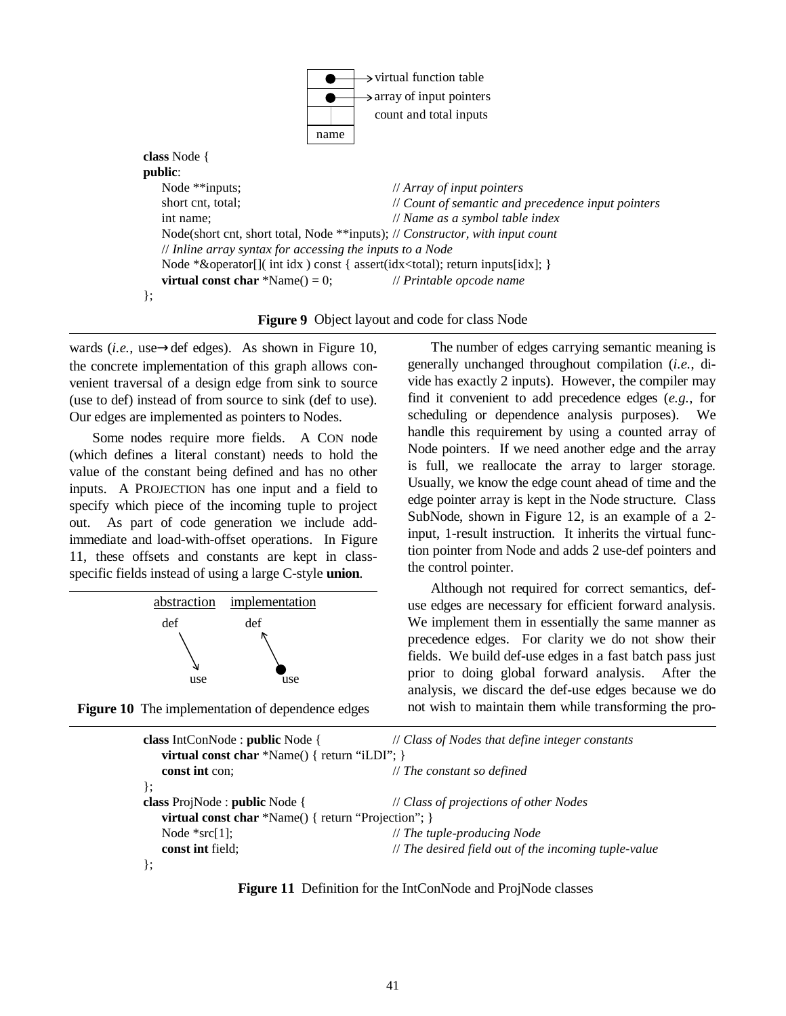

**Figure 9** Object layout and code for class Node

wards (*i.e.*, use→def edges). As shown in Figure 10, the concrete implementation of this graph allows convenient traversal of a design edge from sink to source (use to def) instead of from source to sink (def to use). Our edges are implemented as pointers to Nodes.

Some nodes require more fields. A CON node (which defines a literal constant) needs to hold the value of the constant being defined and has no other inputs. A PROJECTION has one input and a field to specify which piece of the incoming tuple to project out. As part of code generation we include addimmediate and load-with-offset operations. In Figure 11, these offsets and constants are kept in classspecific fields instead of using a large C-style **union**.



**Figure 10** The implementation of dependence edges

The number of edges carrying semantic meaning is generally unchanged throughout compilation (*i.e.*, divide has exactly 2 inputs). However, the compiler may find it convenient to add precedence edges (*e.g.*, for scheduling or dependence analysis purposes). We handle this requirement by using a counted array of Node pointers. If we need another edge and the array is full, we reallocate the array to larger storage. Usually, we know the edge count ahead of time and the edge pointer array is kept in the Node structure. Class SubNode, shown in Figure 12, is an example of a 2 input, 1-result instruction. It inherits the virtual function pointer from Node and adds 2 use-def pointers and the control pointer.

Although not required for correct semantics, defuse edges are necessary for efficient forward analysis. We implement them in essentially the same manner as precedence edges. For clarity we do not show their fields. We build def-use edges in a fast batch pass just prior to doing global forward analysis. After the analysis, we discard the def-use edges because we do not wish to maintain them while transforming the pro-

```
class IntConNode : public Node { // Class of Nodes that define integer constants
   virtual const char *Name() { return "iLDI"; }
   const int con; \angle // The constant so defined
};
class ProjNode : public Node { // Class of projections of other Nodes
   virtual const char *Name() { return "Projection"; }
  Node *src[1]; \angle // The tuple-producing Node
   const int field; <i>l/ The desired field out of the incoming tuple-value
};
```
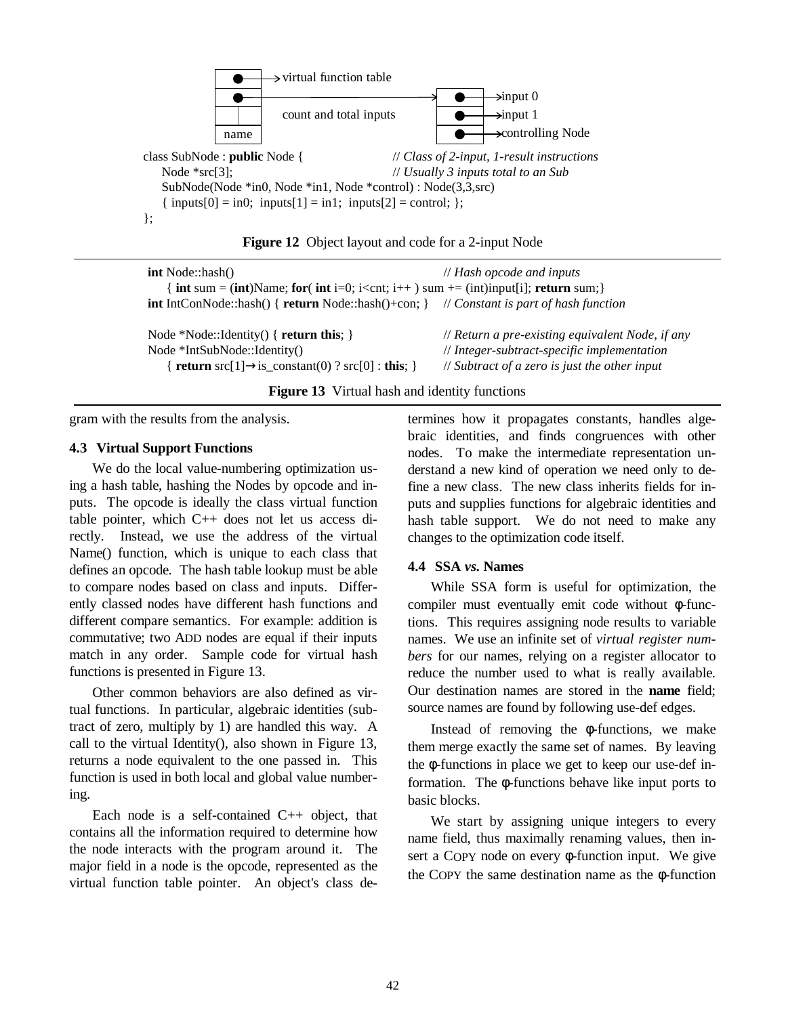

**Figure 12** Object layout and code for a 2-input Node

| int Node::hash()<br>{ int sum = (int)Name; for( int i=0; i <cnt; +="(int)input[i];" i++)="" return="" sum="" sum;}<="" th=""><th>// Hash opcode and inputs</th></cnt;> | // Hash opcode and inputs                                                                                                                                   |
|------------------------------------------------------------------------------------------------------------------------------------------------------------------------|-------------------------------------------------------------------------------------------------------------------------------------------------------------|
| <b>int</b> IntConNode::hash() { return Node::hash()+con; } // Constant is part of hash function                                                                        |                                                                                                                                                             |
| Node *Node::Identity() { $return this$ ; }<br>Node *IntSubNode::Identity()<br>return $src[1] \rightarrow is\_constant(0)$ ? $src[0]$ : this; }                         | // Return a pre-existing equivalent Node, if any<br>// Integer-subtract-specific implementation<br>$\frac{1}{2}$ Subtract of a zero is just the other input |

**Figure 13** Virtual hash and identity functions

gram with the results from the analysis.

#### **4.3 Virtual Support Functions**

We do the local value-numbering optimization using a hash table, hashing the Nodes by opcode and inputs. The opcode is ideally the class virtual function table pointer, which C++ does not let us access directly. Instead, we use the address of the virtual Name() function, which is unique to each class that defines an opcode. The hash table lookup must be able to compare nodes based on class and inputs. Differently classed nodes have different hash functions and different compare semantics. For example: addition is commutative; two ADD nodes are equal if their inputs match in any order. Sample code for virtual hash functions is presented in Figure 13.

Other common behaviors are also defined as virtual functions. In particular, algebraic identities (subtract of zero, multiply by 1) are handled this way. A call to the virtual Identity(), also shown in Figure 13, returns a node equivalent to the one passed in. This function is used in both local and global value numbering.

Each node is a self-contained  $C++$  object, that contains all the information required to determine how the node interacts with the program around it. The major field in a node is the opcode, represented as the virtual function table pointer. An object's class de-

termines how it propagates constants, handles algebraic identities, and finds congruences with other nodes. To make the intermediate representation understand a new kind of operation we need only to define a new class. The new class inherits fields for inputs and supplies functions for algebraic identities and hash table support. We do not need to make any changes to the optimization code itself.

#### **4.4 SSA** *vs.* **Names**

While SSA form is useful for optimization, the compiler must eventually emit code without φ-functions. This requires assigning node results to variable names. We use an infinite set of *virtual register numbers* for our names, relying on a register allocator to reduce the number used to what is really available. Our destination names are stored in the **name** field; source names are found by following use-def edges.

Instead of removing the φ-functions, we make them merge exactly the same set of names. By leaving the φ-functions in place we get to keep our use-def information. The φ-functions behave like input ports to basic blocks.

We start by assigning unique integers to every name field, thus maximally renaming values, then insert a COPY node on every φ-function input. We give the COPY the same destination name as the  $\phi$ -function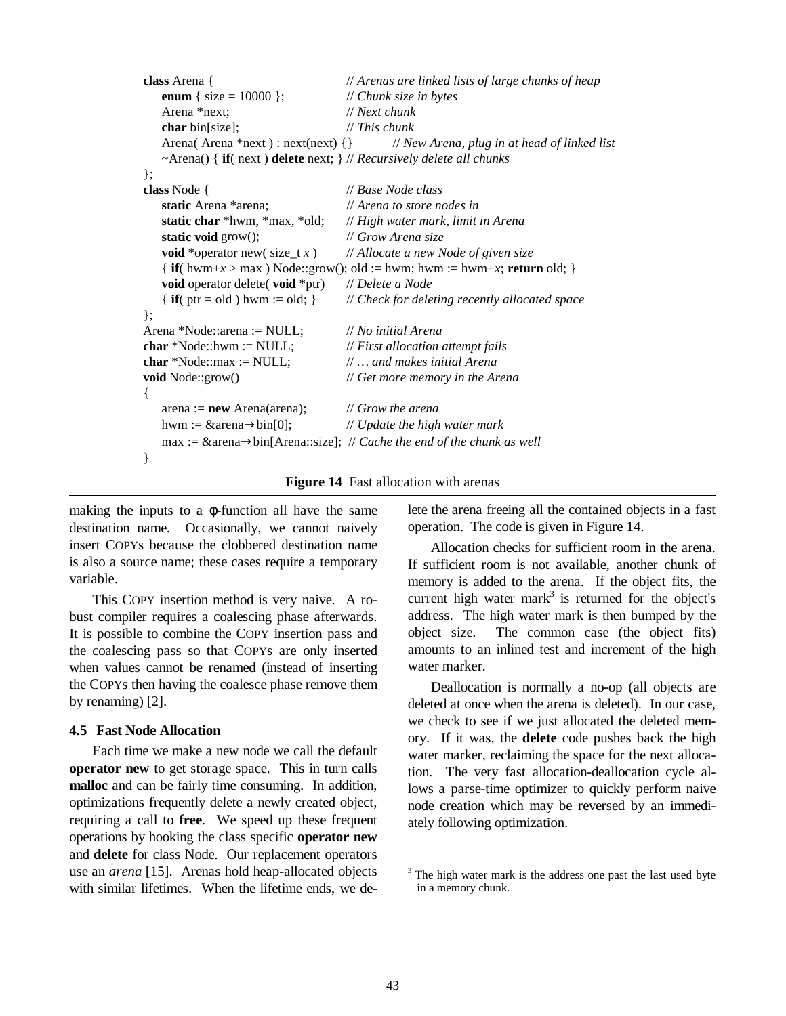```
class Arena { // Arenas are linked lists of large chunks of heap
   enum { size = 10000 }; // Chunk size in bytes
   Arena *next; // Next chunk
   char bin[size]; // This chunk
   Arena( Arena *next ) : next(next) {} // New Arena, plug in at head of linked list
   ~Arena() { if( next ) delete next; } // Recursively delete all chunks
};
class Node { // Base Node class
  static Arena *arena; // Arena to store nodes in
   static char *hwm, *max, *old; // High water mark, limit in Arena
   static void grow(); // Grow Arena size
   void *operator new( size_t x ) // Allocate a new Node of given size
   { if( hwm+x > max ) Node::grow(); old := hwm; hwm := hwm+x; return old; }
   void operator delete( void *ptr) // Delete a Node
   { if( ptr = old ) hwm := old; } // Check for deleting recently allocated space
};
Arena *Node::arena := NULL; // No initial Arena
char *Node::hwm := NULL; // First allocation attempt fails
char *Node::max := NULL; // … and makes initial Arena
void Node::grow() \qquad // Get more memory in the Arena
{
   arena := new Arena(arena); // Grow the arena
  hwm := &arena→bin[0]; // Update the high water mark
   max := &arena→bin[Arena::size]; // Cache the end of the chunk as well
}
```
**Figure 14** Fast allocation with arenas

making the inputs to a φ-function all have the same destination name. Occasionally, we cannot naively insert COPYs because the clobbered destination name is also a source name; these cases require a temporary variable.

This COPY insertion method is very naive. A robust compiler requires a coalescing phase afterwards. It is possible to combine the COPY insertion pass and the coalescing pass so that COPYs are only inserted when values cannot be renamed (instead of inserting the COPYs then having the coalesce phase remove them by renaming) [2].

#### **4.5 Fast Node Allocation**

Each time we make a new node we call the default **operator new** to get storage space. This in turn calls **malloc** and can be fairly time consuming. In addition, optimizations frequently delete a newly created object, requiring a call to **free**. We speed up these frequent operations by hooking the class specific **operator new** and **delete** for class Node. Our replacement operators use an *arena* [15]. Arenas hold heap-allocated objects with similar lifetimes. When the lifetime ends, we delete the arena freeing all the contained objects in a fast operation. The code is given in Figure 14.

Allocation checks for sufficient room in the arena. If sufficient room is not available, another chunk of memory is added to the arena. If the object fits, the current high water mark<sup>3</sup> is returned for the object's address. The high water mark is then bumped by the object size. The common case (the object fits) amounts to an inlined test and increment of the high water marker.

Deallocation is normally a no-op (all objects are deleted at once when the arena is deleted). In our case, we check to see if we just allocated the deleted memory. If it was, the **delete** code pushes back the high water marker, reclaiming the space for the next allocation. The very fast allocation-deallocation cycle allows a parse-time optimizer to quickly perform naive node creation which may be reversed by an immediately following optimization.

<sup>&</sup>lt;sup>3</sup> The high water mark is the address one past the last used byte in a memory chunk.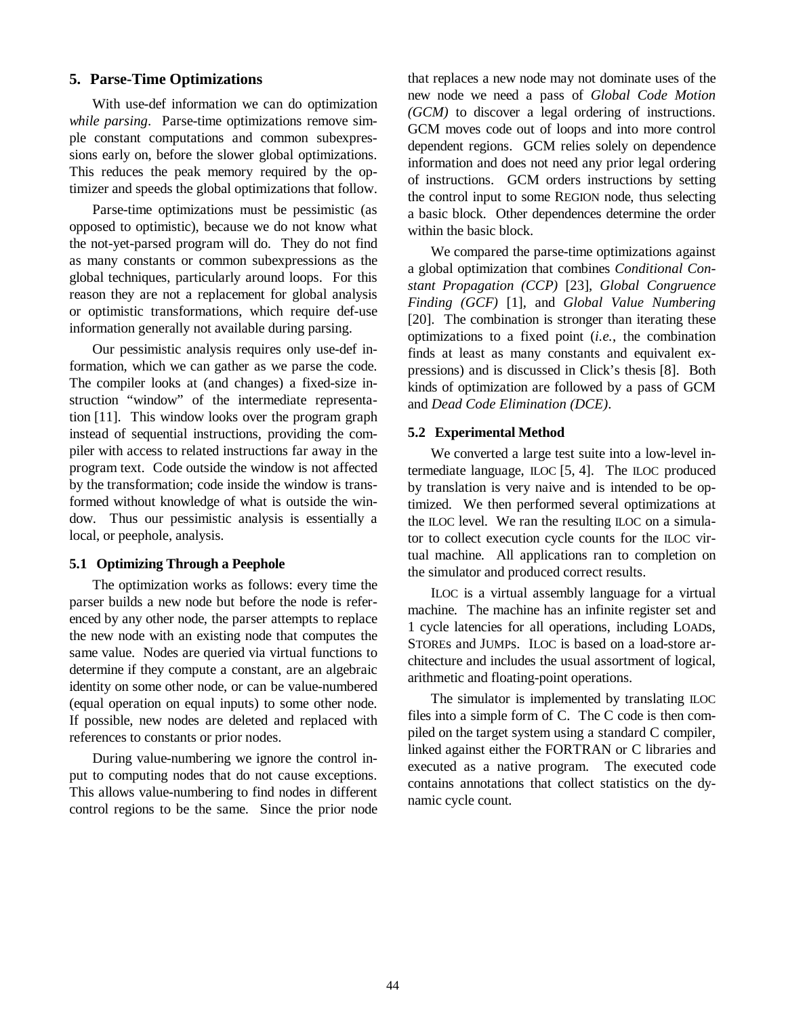# **5. Parse-Time Optimizations**

With use-def information we can do optimization *while parsing*. Parse-time optimizations remove simple constant computations and common subexpressions early on, before the slower global optimizations. This reduces the peak memory required by the optimizer and speeds the global optimizations that follow.

Parse-time optimizations must be pessimistic (as opposed to optimistic), because we do not know what the not-yet-parsed program will do. They do not find as many constants or common subexpressions as the global techniques, particularly around loops. For this reason they are not a replacement for global analysis or optimistic transformations, which require def-use information generally not available during parsing.

Our pessimistic analysis requires only use-def information, which we can gather as we parse the code. The compiler looks at (and changes) a fixed-size instruction "window" of the intermediate representation [11]. This window looks over the program graph instead of sequential instructions, providing the compiler with access to related instructions far away in the program text. Code outside the window is not affected by the transformation; code inside the window is transformed without knowledge of what is outside the window. Thus our pessimistic analysis is essentially a local, or peephole, analysis.

# **5.1 Optimizing Through a Peephole**

The optimization works as follows: every time the parser builds a new node but before the node is referenced by any other node, the parser attempts to replace the new node with an existing node that computes the same value. Nodes are queried via virtual functions to determine if they compute a constant, are an algebraic identity on some other node, or can be value-numbered (equal operation on equal inputs) to some other node. If possible, new nodes are deleted and replaced with references to constants or prior nodes.

During value-numbering we ignore the control input to computing nodes that do not cause exceptions. This allows value-numbering to find nodes in different control regions to be the same. Since the prior node that replaces a new node may not dominate uses of the new node we need a pass of *Global Code Motion (GCM)* to discover a legal ordering of instructions. GCM moves code out of loops and into more control dependent regions. GCM relies solely on dependence information and does not need any prior legal ordering of instructions. GCM orders instructions by setting the control input to some REGION node, thus selecting a basic block. Other dependences determine the order within the basic block.

We compared the parse-time optimizations against a global optimization that combines *Conditional Constant Propagation (CCP)* [23], *Global Congruence Finding (GCF)* [1], and *Global Value Numbering* [20]. The combination is stronger than iterating these optimizations to a fixed point (*i.e.*, the combination finds at least as many constants and equivalent expressions) and is discussed in Click's thesis [8]. Both kinds of optimization are followed by a pass of GCM and *Dead Code Elimination (DCE)*.

#### **5.2 Experimental Method**

We converted a large test suite into a low-level intermediate language, ILOC [5, 4]. The ILOC produced by translation is very naive and is intended to be optimized. We then performed several optimizations at the ILOC level. We ran the resulting ILOC on a simulator to collect execution cycle counts for the ILOC virtual machine. All applications ran to completion on the simulator and produced correct results.

ILOC is a virtual assembly language for a virtual machine. The machine has an infinite register set and 1 cycle latencies for all operations, including LOADs, STOREs and JUMPs. ILOC is based on a load-store architecture and includes the usual assortment of logical, arithmetic and floating-point operations.

The simulator is implemented by translating ILOC files into a simple form of C. The C code is then compiled on the target system using a standard C compiler, linked against either the FORTRAN or C libraries and executed as a native program. The executed code contains annotations that collect statistics on the dynamic cycle count.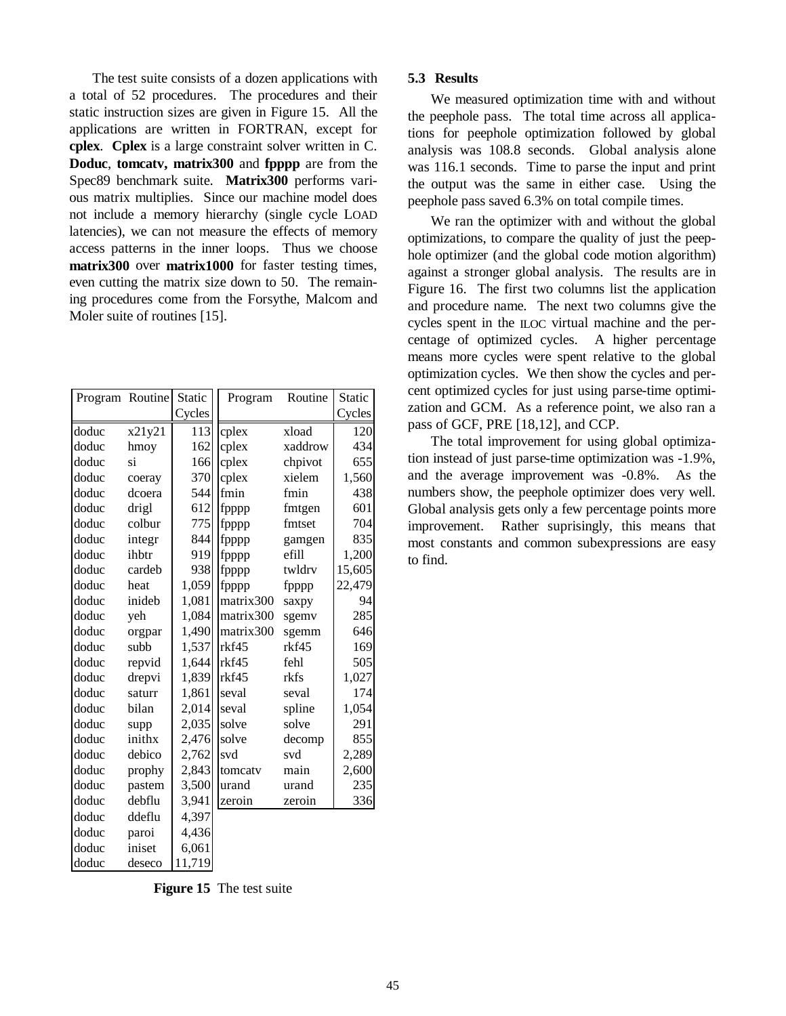The test suite consists of a dozen applications with a total of 52 procedures. The procedures and their static instruction sizes are given in Figure 15. All the applications are written in FORTRAN, except for **cplex**. **Cplex** is a large constraint solver written in C. **Doduc**, **tomcatv, matrix300** and **fpppp** are from the Spec89 benchmark suite. **Matrix300** performs various matrix multiplies. Since our machine model does not include a memory hierarchy (single cycle LOAD latencies), we can not measure the effects of memory access patterns in the inner loops. Thus we choose **matrix300** over **matrix1000** for faster testing times, even cutting the matrix size down to 50. The remaining procedures come from the Forsythe, Malcom and Moler suite of routines [15].

| Program Routine |        | Static | Program<br>Routine |         | Static |
|-----------------|--------|--------|--------------------|---------|--------|
|                 |        | Cycles |                    |         | Cycles |
| doduc           | x21y21 | 113    | cplex              | xload   | 120    |
| doduc           | hmoy   | 162    | cplex              | xaddrow | 434    |
| doduc           | si     | 166    | cplex              | chpivot | 655    |
| doduc           | coeray | 370    | cplex              | xielem  | 1,560  |
| doduc           | dcoera | 544    | fmin               | fmin    | 438    |
| doduc           | drigl  | 612    | fpppp              | fmtgen  | 601    |
| doduc           | colbur | 775    | fpppp              | fmtset  | 704    |
| doduc           | integr | 844    | fpppp              | gamgen  | 835    |
| doduc           | ihbtr  | 919    | fpppp              | efill   | 1,200  |
| doduc           | cardeb | 938    | fpppp              | twldry  | 15,605 |
| doduc           | heat   | 1,059  | fpppp              | fpppp   | 22,479 |
| doduc           | inideb | 1,081  | matrix300          | saxpy   | 94     |
| doduc           | yeh    | 1,084  | matrix300          | sgemv   | 285    |
| doduc           | orgpar | 1,490  | matrix300          | sgemm   | 646    |
| doduc           | subb   | 1,537  | rkf45              | rkf45   | 169    |
| doduc           | repvid | 1,644  | rkf45              | fehl    | 505    |
| doduc           | drepvi | 1,839  | rkf45              | rkfs    | 1,027  |
| doduc           | saturr | 1,861  | seval              | seval   | 174    |
| doduc           | bilan  | 2,014  | seval              | spline  | 1,054  |
| doduc           | supp   | 2,035  | solve              | solve   | 291    |
| doduc           | inithx | 2,476  | solve              | decomp  | 855    |
| doduc           | debico | 2,762  | svd                | svd     | 2,289  |
| doduc           | prophy | 2,843  | tomcaty            | main    | 2,600  |
| doduc           | pastem | 3,500  | urand              | urand   | 235    |
| doduc           | debflu | 3,941  | zeroin             | zeroin  | 336    |
| doduc           | ddeflu | 4,397  |                    |         |        |
| doduc           | paroi  | 4,436  |                    |         |        |
| doduc           | iniset | 6,061  |                    |         |        |
| doduc           | deseco | 11,719 |                    |         |        |

**Figure 15** The test suite

#### **5.3 Results**

We measured optimization time with and without the peephole pass. The total time across all applications for peephole optimization followed by global analysis was 108.8 seconds. Global analysis alone was 116.1 seconds. Time to parse the input and print the output was the same in either case. Using the peephole pass saved 6.3% on total compile times.

We ran the optimizer with and without the global optimizations, to compare the quality of just the peephole optimizer (and the global code motion algorithm) against a stronger global analysis. The results are in Figure 16. The first two columns list the application and procedure name. The next two columns give the cycles spent in the ILOC virtual machine and the percentage of optimized cycles. A higher percentage means more cycles were spent relative to the global optimization cycles. We then show the cycles and percent optimized cycles for just using parse-time optimization and GCM. As a reference point, we also ran a pass of GCF, PRE [18,12], and CCP.

The total improvement for using global optimization instead of just parse-time optimization was -1.9%, and the average improvement was -0.8%. As the numbers show, the peephole optimizer does very well. Global analysis gets only a few percentage points more improvement. Rather suprisingly, this means that most constants and common subexpressions are easy to find.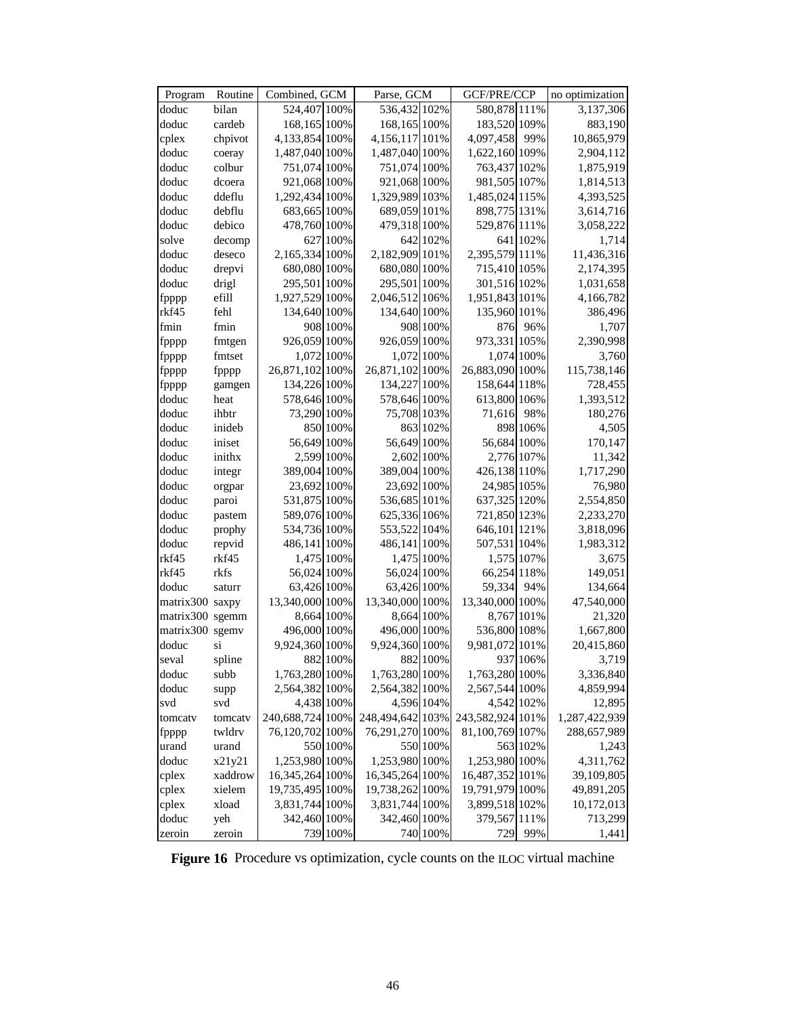| Program         | Routine | Combined, GCM    |          | Parse, GCM       |            | GCF/PRE/CCP      |            | no optimization |
|-----------------|---------|------------------|----------|------------------|------------|------------------|------------|-----------------|
| doduc           | bilan   | 524,407 100%     |          | 536,432 102%     |            | 580,878 111%     |            | 3,137,306       |
| doduc           | cardeb  | 168,165 100%     |          | 168,165 100%     |            | 183,520 109%     |            | 883,190         |
| cplex           | chpivot | 4,133,854 100%   |          | 4,156,117 101%   |            | 4,097,458        | 99%        | 10,865,979      |
| doduc           | coeray  | 1,487,040 100%   |          | 1,487,040 100%   |            | 1,622,160 109%   |            | 2,904,112       |
| doduc           | colbur  | 751,074 100%     |          | 751,074 100%     |            | 763,437 102%     |            | 1,875,919       |
| doduc           | dcoera  | 921,068 100%     |          | 921,068 100%     |            | 981,505 107%     |            | 1,814,513       |
| doduc           | ddeflu  | 1,292,434 100%   |          | 1,329,989 103%   |            | 1,485,024 115%   |            | 4,393,525       |
| doduc           | debflu  | 683,665 100%     |          | 689,059 101%     |            | 898,775 131%     |            | 3,614,716       |
| doduc           | debico  | 478,760 100%     |          | 479,318 100%     |            | 529,876 111%     |            | 3,058,222       |
| solve           | decomp  |                  | 627 100% |                  | 642 102%   |                  | 641 102%   | 1,714           |
| doduc           | deseco  | 2,165,334 100%   |          | 2,182,909 101%   |            | 2,395,579 111%   |            | 11,436,316      |
| doduc           | drepvi  | 680,080 100%     |          | 680,080 100%     |            | 715,410 105%     |            | 2,174,395       |
| doduc           | drigl   | 295,501 100%     |          | 295,501 100%     |            | 301,516 102%     |            | 1,031,658       |
| fpppp           | efill   | 1,927,529 100%   |          | 2,046,512 106%   |            | 1,951,843 101%   |            | 4,166,782       |
| rkf45           | fehl    | 134,640 100%     |          | 134,640 100%     |            | 135,960 101%     |            | 386,496         |
| fmin            | fmin    |                  | 908 100% |                  | 908 100%   | 876              | 96%        | 1,707           |
| fpppp           | fmtgen  | 926,059 100%     |          | 926,059 100%     |            | 973,331 105%     |            | 2,390,998       |
| fpppp           | fmtset  | 1,072 100%       |          |                  | 1,072 100% |                  | 1,074 100% | 3,760           |
| fpppp           | fpppp   | 26,871,102 100%  |          | 26,871,102 100%  |            | 26,883,090 100%  |            | 115,738,146     |
| fpppp           | gamgen  | 134,226 100%     |          | 134,227 100%     |            | 158,644 118%     |            | 728,455         |
| doduc           | heat    | 578,646 100%     |          | 578,646 100%     |            | 613,800 106%     |            | 1,393,512       |
| doduc           | ihbtr   | 73,290 100%      |          | 75,708 103%      |            | 71,616           | 98%        | 180,276         |
| doduc           | inideb  |                  | 850 100% |                  | 863 102%   |                  | 898 106%   | 4,505           |
| doduc           | iniset  | 56,649 100%      |          | 56,649 100%      |            | 56,684 100%      |            | 170,147         |
| doduc           | inithx  | 2,599 100%       |          | 2,602 100%       |            | 2,776 107%       |            | 11,342          |
| doduc           | integr  | 389,004 100%     |          | 389,004 100%     |            | 426,138 110%     |            | 1,717,290       |
| doduc           | orgpar  | 23,692 100%      |          | 23,692 100%      |            | 24,985 105%      |            | 76,980          |
| doduc           | paroi   | 531,875 100%     |          | 536,685 101%     |            | 637,325 120%     |            | 2,554,850       |
| doduc           | pastem  | 589,076 100%     |          | 625,336 106%     |            | 721,850 123%     |            | 2,233,270       |
| doduc           | prophy  | 534,736 100%     |          | 553,522 104%     |            | 646,101 121%     |            | 3,818,096       |
| doduc           | repvid  | 486,141 100%     |          | 486,141 100%     |            | 507,531 104%     |            | 1,983,312       |
| rkf45           | rkf45   | 1,475 100%       |          |                  | 1,475 100% |                  | 1,575 107% | 3,675           |
| rkf45           | rkfs    | 56,024 100%      |          | 56,024 100%      |            | 66,254 118%      |            | 149,051         |
| doduc           | saturr  | 63,426 100%      |          | 63,426 100%      |            | 59,334           | 94%        | 134,664         |
| matrix300 saxpy |         | 13,340,000 100%  |          | 13,340,000 100%  |            | 13,340,000 100%  |            | 47,540,000      |
| matrix300 sgemm |         | 8,664 100%       |          |                  | 8,664 100% |                  | 8,767 101% | 21,320          |
| matrix300 sgemv |         | 496,000 100%     |          | 496,000 100%     |            | 536,800 108%     |            | 1,667,800       |
| doduc           | si      | 9,924,360 100%   |          | 9,924,360 100%   |            | 9,981,072 101%   |            | 20,415,860      |
| seval           | spline  |                  | 882 100% |                  | 882 100%   |                  | 937 106%   | 3,719           |
| doduc           | subb    | 1,763,280 100%   |          | 1,763,280 100%   |            | 1,763,280 100%   |            | 3,336,840       |
| doduc           | supp    | 2,564,382 100%   |          | 2,564,382 100%   |            | 2,567,544 100%   |            | 4,859,994       |
| svd             | svd     | 4,438 100%       |          |                  | 4,596 104% | 4,542 102%       |            | 12,895          |
| tomcatv         | tomcatv | 240,688,724 100% |          | 248,494,642 103% |            | 243,582,924 101% |            | 1,287,422,939   |
| fpppp           | twldrv  | 76,120,702 100%  |          | 76,291,270 100%  |            | 81,100,769 107%  |            | 288,657,989     |
| urand           | urand   |                  | 550 100% |                  | 550 100%   |                  | 563 102%   | 1,243           |
| doduc           | x21y21  | 1,253,980 100%   |          | 1,253,980 100%   |            | 1,253,980 100%   |            | 4,311,762       |
| cplex           | xaddrow | 16,345,264 100%  |          | 16,345,264 100%  |            | 16,487,352 101%  |            | 39,109,805      |
| cplex           | xielem  | 19,735,495 100%  |          | 19,738,262 100%  |            | 19,791,979 100%  |            | 49,891,205      |
| cplex           | xload   | 3,831,744 100%   |          | 3,831,744 100%   |            | 3,899,518 102%   |            | 10,172,013      |
| doduc           | yeh     | 342,460 100%     |          | 342,460 100%     |            | 379,567 111%     |            | 713,299         |
| zeroin          | zeroin  |                  | 739 100% |                  | 740 100%   | 729              | 99%        | 1,441           |

**Figure 16** Procedure vs optimization, cycle counts on the ILOC virtual machine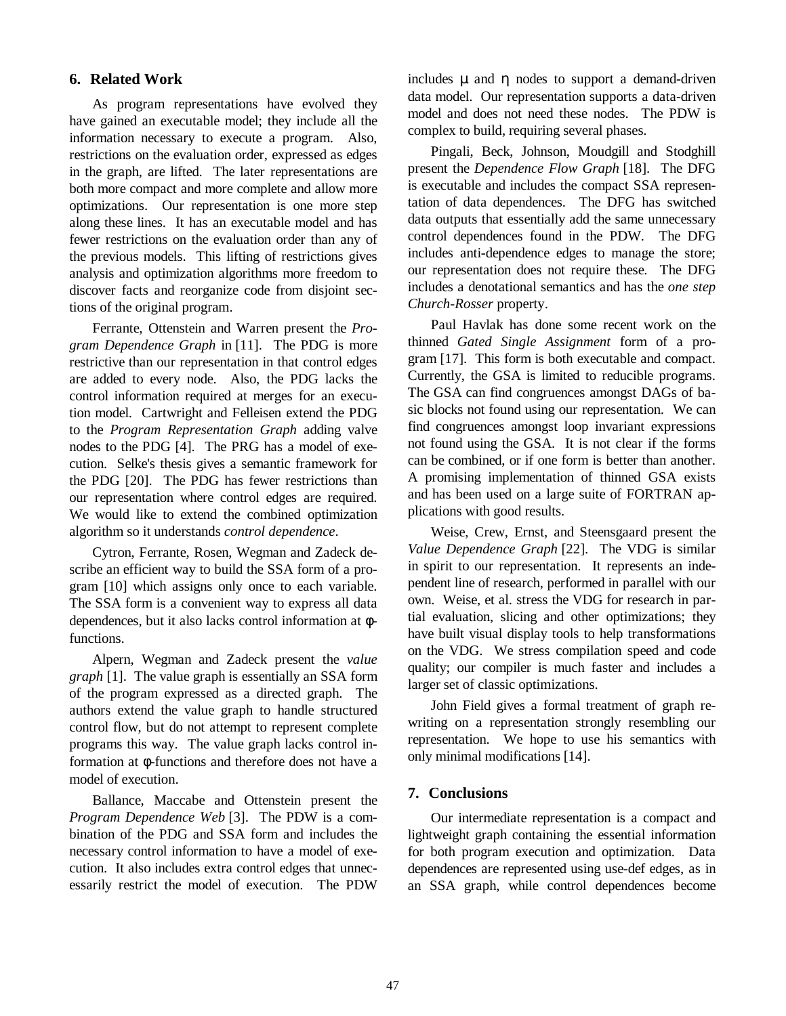# **6. Related Work**

As program representations have evolved they have gained an executable model; they include all the information necessary to execute a program. Also, restrictions on the evaluation order, expressed as edges in the graph, are lifted. The later representations are both more compact and more complete and allow more optimizations. Our representation is one more step along these lines. It has an executable model and has fewer restrictions on the evaluation order than any of the previous models. This lifting of restrictions gives analysis and optimization algorithms more freedom to discover facts and reorganize code from disjoint sections of the original program.

Ferrante, Ottenstein and Warren present the *Program Dependence Graph* in [11]. The PDG is more restrictive than our representation in that control edges are added to every node. Also, the PDG lacks the control information required at merges for an execution model. Cartwright and Felleisen extend the PDG to the *Program Representation Graph* adding valve nodes to the PDG [4]. The PRG has a model of execution. Selke's thesis gives a semantic framework for the PDG [20]. The PDG has fewer restrictions than our representation where control edges are required. We would like to extend the combined optimization algorithm so it understands *control dependence*.

Cytron, Ferrante, Rosen, Wegman and Zadeck describe an efficient way to build the SSA form of a program [10] which assigns only once to each variable. The SSA form is a convenient way to express all data dependences, but it also lacks control information at φfunctions.

Alpern, Wegman and Zadeck present the *value graph* [1]. The value graph is essentially an SSA form of the program expressed as a directed graph. The authors extend the value graph to handle structured control flow, but do not attempt to represent complete programs this way. The value graph lacks control information at φ-functions and therefore does not have a model of execution.

Ballance, Maccabe and Ottenstein present the *Program Dependence Web* [3]. The PDW is a combination of the PDG and SSA form and includes the necessary control information to have a model of execution. It also includes extra control edges that unnecessarily restrict the model of execution. The PDW

includes  $\mu$  and  $\eta$  nodes to support a demand-driven data model. Our representation supports a data-driven model and does not need these nodes. The PDW is complex to build, requiring several phases.

Pingali, Beck, Johnson, Moudgill and Stodghill present the *Dependence Flow Graph* [18]. The DFG is executable and includes the compact SSA representation of data dependences. The DFG has switched data outputs that essentially add the same unnecessary control dependences found in the PDW. The DFG includes anti-dependence edges to manage the store; our representation does not require these. The DFG includes a denotational semantics and has the *one step Church-Rosser* property.

Paul Havlak has done some recent work on the thinned *Gated Single Assignment* form of a program [17]. This form is both executable and compact. Currently, the GSA is limited to reducible programs. The GSA can find congruences amongst DAGs of basic blocks not found using our representation. We can find congruences amongst loop invariant expressions not found using the GSA. It is not clear if the forms can be combined, or if one form is better than another. A promising implementation of thinned GSA exists and has been used on a large suite of FORTRAN applications with good results.

Weise, Crew, Ernst, and Steensgaard present the *Value Dependence Graph* [22]. The VDG is similar in spirit to our representation. It represents an independent line of research, performed in parallel with our own. Weise, et al. stress the VDG for research in partial evaluation, slicing and other optimizations; they have built visual display tools to help transformations on the VDG. We stress compilation speed and code quality; our compiler is much faster and includes a larger set of classic optimizations.

John Field gives a formal treatment of graph rewriting on a representation strongly resembling our representation. We hope to use his semantics with only minimal modifications [14].

## **7. Conclusions**

Our intermediate representation is a compact and lightweight graph containing the essential information for both program execution and optimization. Data dependences are represented using use-def edges, as in an SSA graph, while control dependences become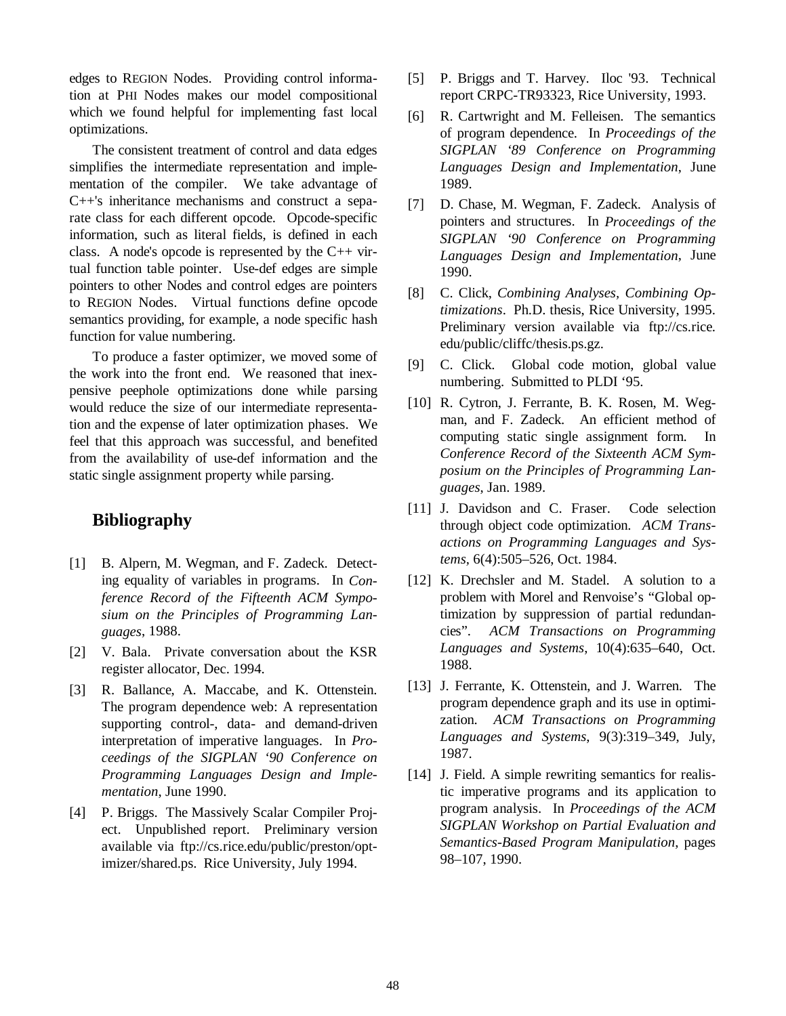edges to REGION Nodes. Providing control information at PHI Nodes makes our model compositional which we found helpful for implementing fast local optimizations.

The consistent treatment of control and data edges simplifies the intermediate representation and implementation of the compiler. We take advantage of C++'s inheritance mechanisms and construct a separate class for each different opcode. Opcode-specific information, such as literal fields, is defined in each class. A node's opcode is represented by the  $C++$  virtual function table pointer. Use-def edges are simple pointers to other Nodes and control edges are pointers to REGION Nodes. Virtual functions define opcode semantics providing, for example, a node specific hash function for value numbering.

To produce a faster optimizer, we moved some of the work into the front end. We reasoned that inexpensive peephole optimizations done while parsing would reduce the size of our intermediate representation and the expense of later optimization phases. We feel that this approach was successful, and benefited from the availability of use-def information and the static single assignment property while parsing.

# **Bibliography**

- [1] B. Alpern, M. Wegman, and F. Zadeck. Detecting equality of variables in programs. In *Conference Record of the Fifteenth ACM Symposium on the Principles of Programming Languages*, 1988.
- [2] V. Bala. Private conversation about the KSR register allocator, Dec. 1994.
- [3] R. Ballance, A. Maccabe, and K. Ottenstein. The program dependence web: A representation supporting control-, data- and demand-driven interpretation of imperative languages. In *Proceedings of the SIGPLAN '90 Conference on Programming Languages Design and Implementation*, June 1990.
- [4] P. Briggs. The Massively Scalar Compiler Project. Unpublished report. Preliminary version available via ftp://cs.rice.edu/public/preston/optimizer/shared.ps. Rice University, July 1994.
- [5] P. Briggs and T. Harvey. Iloc '93. Technical report CRPC-TR93323, Rice University, 1993.
- [6] R. Cartwright and M. Felleisen. The semantics of program dependence. In *Proceedings of the SIGPLAN '89 Conference on Programming Languages Design and Implementation*, June 1989.
- [7] D. Chase, M. Wegman, F. Zadeck. Analysis of pointers and structures. In *Proceedings of the SIGPLAN '90 Conference on Programming Languages Design and Implementation*, June 1990.
- [8] C. Click, *Combining Analyses, Combining Optimizations*. Ph.D. thesis, Rice University, 1995. Preliminary version available via ftp://cs.rice. edu/public/cliffc/thesis.ps.gz.
- [9] C. Click. Global code motion, global value numbering. Submitted to PLDI '95.
- [10] R. Cytron, J. Ferrante, B. K. Rosen, M. Wegman, and F. Zadeck. An efficient method of computing static single assignment form. In *Conference Record of the Sixteenth ACM Symposium on the Principles of Programming Languages*, Jan. 1989.
- [11] J. Davidson and C. Fraser. Code selection through object code optimization. *ACM Transactions on Programming Languages and Systems,* 6(4):505–526, Oct. 1984.
- [12] K. Drechsler and M. Stadel. A solution to a problem with Morel and Renvoise's "Global optimization by suppression of partial redundancies". *ACM Transactions on Programming Languages and Systems*, 10(4):635–640, Oct. 1988.
- [13] J. Ferrante, K. Ottenstein, and J. Warren. The program dependence graph and its use in optimization. *ACM Transactions on Programming Languages and Systems*, 9(3):319–349, July, 1987.
- [14] J. Field. A simple rewriting semantics for realistic imperative programs and its application to program analysis. In *Proceedings of the ACM SIGPLAN Workshop on Partial Evaluation and Semantics-Based Program Manipulation*, pages 98–107, 1990.